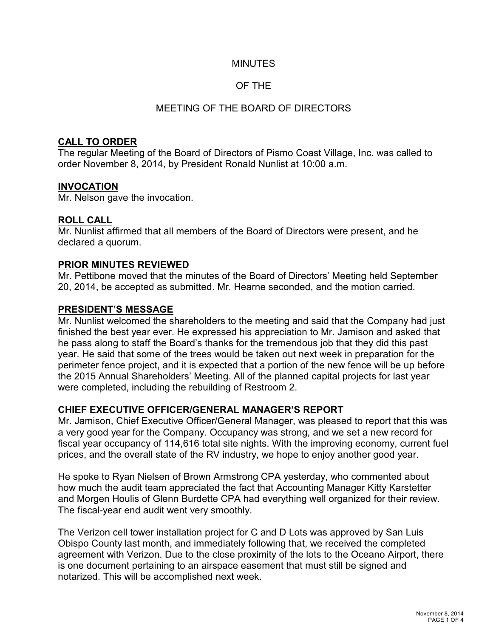#### MINUTES

## OF THE

## MEETING OF THE BOARD OF DIRECTORS

## **CALL TO ORDER**

The regular Meeting of the Board of Directors of Pismo Coast Village, Inc. was called to order November 8, 2014, by President Ronald Nunlist at 10:00 a.m.

#### **INVOCATION**

Mr. Nelson gave the invocation.

#### **ROLL CALL**

Mr. Nunlist affirmed that all members of the Board of Directors were present, and he declared a quorum.

#### **PRIOR MINUTES REVIEWED**

Mr. Pettibone moved that the minutes of the Board of Directors' Meeting held September 20, 2014, be accepted as submitted. Mr. Hearne seconded, and the motion carried.

#### **PRESIDENT'S MESSAGE**

Mr. Nunlist welcomed the shareholders to the meeting and said that the Company had just finished the best year ever. He expressed his appreciation to Mr. Jamison and asked that he pass along to staff the Board's thanks for the tremendous job that they did this past year. He said that some of the trees would be taken out next week in preparation for the perimeter fence project, and it is expected that a portion of the new fence will be up before the 2015 Annual Shareholders' Meeting. All of the planned capital projects for last year were completed, including the rebuilding of Restroom 2.

## **CHIEF EXECUTIVE OFFICER/GENERAL MANAGER'S REPORT**

Mr. Jamison, Chief Executive Officer/General Manager, was pleased to report that this was a very good year for the Company. Occupancy was strong, and we set a new record for fiscal year occupancy of 114,616 total site nights. With the improving economy, current fuel prices, and the overall state of the RV industry, we hope to enjoy another good year.

He spoke to Ryan Nielsen of Brown Armstrong CPA yesterday, who commented about how much the audit team appreciated the fact that Accounting Manager Kitty Karstetter and Morgen Houlis of Glenn Burdette CPA had everything well organized for their review. The fiscal-year end audit went very smoothly.

The Verizon cell tower installation project for C and D Lots was approved by San Luis Obispo County last month, and immediately following that, we received the completed agreement with Verizon. Due to the close proximity of the lots to the Oceano Airport, there is one document pertaining to an airspace easement that must still be signed and notarized. This will be accomplished next week.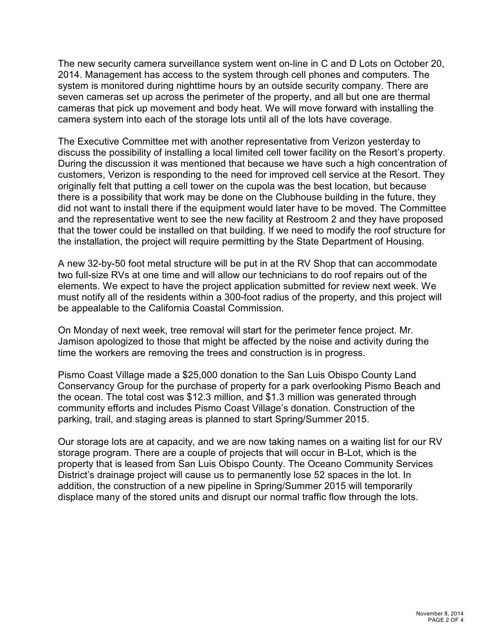The new security camera surveillance system went on-line in C and D Lots on October 20, 2014. Management has access to the system through cell phones and computers. The system is monitored during nighttime hours by an outside security company. There are seven cameras set up across the perimeter of the property, and all but one are thermal cameras that pick up movement and body heat. We will move forward with installing the camera system into each of the storage lots until all of the lots have coverage.

The Executive Committee met with another representative from Verizon yesterday to discuss the possibility of installing a local limited cell tower facility on the Resort's property. During the discussion it was mentioned that because we have such a high concentration of customers, Verizon is responding to the need for improved cell service at the Resort. They originally felt that putting a cell tower on the cupola was the best location, but because there is a possibility that work may be done on the Clubhouse building in the future, they did not want to install there if the equipment would later have to be moved. The Committee and the representative went to see the new facility at Restroom 2 and they have proposed that the tower could be installed on that building. If we need to modify the roof structure for the installation, the project will require permitting by the State Department of Housing.

A new 32-by-50 foot metal structure will be put in at the RV Shop that can accommodate two full-size RVs at one time and will allow our technicians to do roof repairs out of the elements. We expect to have the project application submitted for review next week. We must notify all of the residents within a 300-foot radius of the property, and this project will be appealable to the California Coastal Commission.

On Monday of next week, tree removal will start for the perimeter fence project. Mr. Jamison apologized to those that might be affected by the noise and activity during the time the workers are removing the trees and construction is in progress.

Pismo Coast Village made a \$25,000 donation to the San Luis Obispo County Land Conservancy Group for the purchase of property for a park overlooking Pismo Beach and the ocean. The total cost was \$12.3 million, and \$1.3 million was generated through community efforts and includes Pismo Coast Village's donation. Construction of the parking, trail, and staging areas is planned to start Spring/Summer 2015.

Our storage lots are at capacity, and we are now taking names on a waiting list for our RV storage program. There are a couple of projects that will occur in B-Lot, which is the property that is leased from San Luis Obispo County. The Oceano Community Services District's drainage project will cause us to permanently lose 52 spaces in the lot. In addition, the construction of a new pipeline in Spring/Summer 2015 will temporarily displace many of the stored units and disrupt our normal traffic flow through the lots.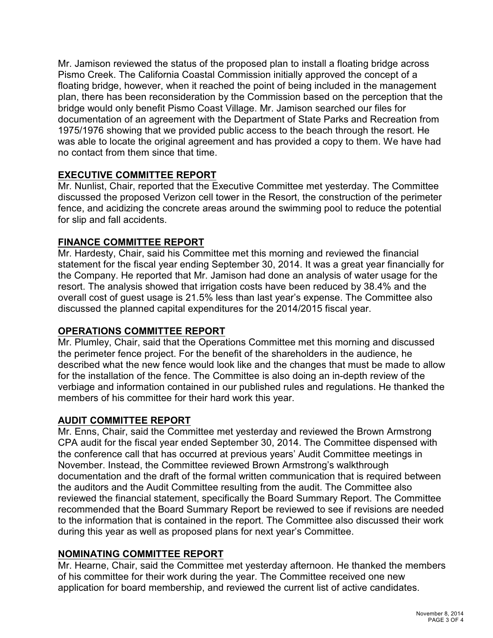Mr. Jamison reviewed the status of the proposed plan to install a floating bridge across Pismo Creek. The California Coastal Commission initially approved the concept of a floating bridge, however, when it reached the point of being included in the management plan, there has been reconsideration by the Commission based on the perception that the bridge would only benefit Pismo Coast Village. Mr. Jamison searched our files for documentation of an agreement with the Department of State Parks and Recreation from 1975/1976 showing that we provided public access to the beach through the resort. He was able to locate the original agreement and has provided a copy to them. We have had no contact from them since that time.

# **EXECUTIVE COMMITTEE REPORT**

Mr. Nunlist, Chair, reported that the Executive Committee met yesterday. The Committee discussed the proposed Verizon cell tower in the Resort, the construction of the perimeter fence, and acidizing the concrete areas around the swimming pool to reduce the potential for slip and fall accidents.

# **FINANCE COMMITTEE REPORT**

Mr. Hardesty, Chair, said his Committee met this morning and reviewed the financial statement for the fiscal year ending September 30, 2014. It was a great year financially for the Company. He reported that Mr. Jamison had done an analysis of water usage for the resort. The analysis showed that irrigation costs have been reduced by 38.4% and the overall cost of guest usage is 21.5% less than last year's expense. The Committee also discussed the planned capital expenditures for the 2014/2015 fiscal year.

# **OPERATIONS COMMITTEE REPORT**

Mr. Plumley, Chair, said that the Operations Committee met this morning and discussed the perimeter fence project. For the benefit of the shareholders in the audience, he described what the new fence would look like and the changes that must be made to allow for the installation of the fence. The Committee is also doing an in-depth review of the verbiage and information contained in our published rules and regulations. He thanked the members of his committee for their hard work this year.

# **AUDIT COMMITTEE REPORT**

Mr. Enns, Chair, said the Committee met yesterday and reviewed the Brown Armstrong CPA audit for the fiscal year ended September 30, 2014. The Committee dispensed with the conference call that has occurred at previous years' Audit Committee meetings in November. Instead, the Committee reviewed Brown Armstrong's walkthrough documentation and the draft of the formal written communication that is required between the auditors and the Audit Committee resulting from the audit. The Committee also reviewed the financial statement, specifically the Board Summary Report. The Committee recommended that the Board Summary Report be reviewed to see if revisions are needed to the information that is contained in the report. The Committee also discussed their work during this year as well as proposed plans for next year's Committee.

# **NOMINATING COMMITTEE REPORT**

Mr. Hearne, Chair, said the Committee met yesterday afternoon. He thanked the members of his committee for their work during the year. The Committee received one new application for board membership, and reviewed the current list of active candidates.